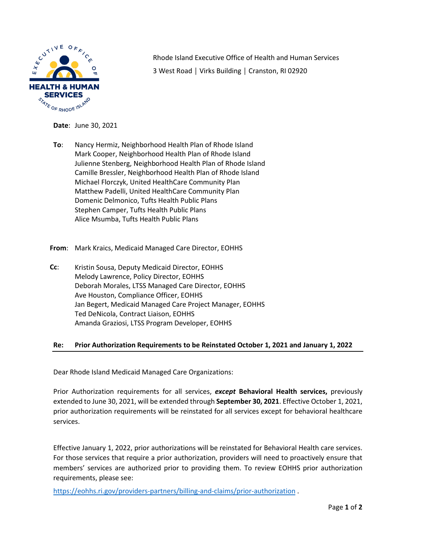

Rhode Island Executive Office of Health and Human Services 3 West Road │ Virks Building │ Cranston, RI 02920

**Date**: June 30, 2021

- **To**: Nancy Hermiz, Neighborhood Health Plan of Rhode Island Mark Cooper, Neighborhood Health Plan of Rhode Island Julienne Stenberg, Neighborhood Health Plan of Rhode Island Camille Bressler, Neighborhood Health Plan of Rhode Island Michael Florczyk, United HealthCare Community Plan Matthew Padelli, United HealthCare Community Plan Domenic Delmonico, Tufts Health Public Plans Stephen Camper, Tufts Health Public Plans Alice Msumba, Tufts Health Public Plans
- **From**: Mark Kraics, Medicaid Managed Care Director, EOHHS
- **Cc**: Kristin Sousa, Deputy Medicaid Director, EOHHS Melody Lawrence, Policy Director, EOHHS Deborah Morales, LTSS Managed Care Director, EOHHS Ave Houston, Compliance Officer, EOHHS Jan Begert, Medicaid Managed Care Project Manager, EOHHS Ted DeNicola, Contract Liaison, EOHHS Amanda Graziosi, LTSS Program Developer, EOHHS

## **Re: Prior Authorization Requirements to be Reinstated October 1, 2021 and January 1, 2022**

Dear Rhode Island Medicaid Managed Care Organizations:

Prior Authorization requirements for all services, *except* **Behavioral Health services,** previously extended to June 30, 2021, will be extended through **September 30, 2021**. Effective October 1, 2021, prior authorization requirements will be reinstated for all services except for behavioral healthcare services.

Effective January 1, 2022, prior authorizations will be reinstated for Behavioral Health care services. For those services that require a prior authorization, providers will need to proactively ensure that members' services are authorized prior to providing them. To review EOHHS prior authorization requirements, please see:

[https://eohhs.ri.gov/providers](https://eohhs.ri.gov/providers-partners/billing-and-claims/prior-authorization)-partners/billing-and-claims/prior-authorization .